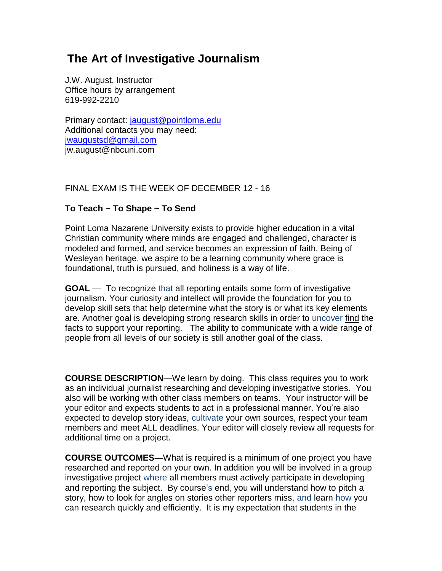# **The Art of Investigative Journalism**

J.W. August, Instructor Office hours by arrangement 619-992-2210

Primary contact: [jaugust@pointloma.edu](mailto:jaugust@pointloma.edu) Additional contacts you may need: [jwaugustsd@gmail.com](mailto:jwaugustsd@gmail.com) jw.august@nbcuni.com

FINAL EXAM IS THE WEEK OF DECEMBER 12 - 16

# **To Teach ~ To Shape ~ To Send**

Point Loma Nazarene University exists to provide higher education in a vital Christian community where minds are engaged and challenged, character is modeled and formed, and service becomes an expression of faith. Being of Wesleyan heritage, we aspire to be a learning community where grace is foundational, truth is pursued, and holiness is a way of life.

**GOAL** — To recognize that all reporting entails some form of investigative journalism. Your curiosity and intellect will provide the foundation for you to develop skill sets that help determine what the story is or what its key elements are. Another goal is developing strong research skills in order to uncover find the facts to support your reporting. The ability to communicate with a wide range of people from all levels of our society is still another goal of the class.

**COURSE DESCRIPTION**—We learn by doing. This class requires you to work as an individual journalist researching and developing investigative stories. You also will be working with other class members on teams. Your instructor will be your editor and expects students to act in a professional manner. You're also expected to develop story ideas, cultivate your own sources, respect your team members and meet ALL deadlines. Your editor will closely review all requests for additional time on a project.

**COURSE OUTCOMES**—What is required is a minimum of one project you have researched and reported on your own. In addition you will be involved in a group investigative project where all members must actively participate in developing and reporting the subject. By course's end, you will understand how to pitch a story, how to look for angles on stories other reporters miss, and learn how you can research quickly and efficiently. It is my expectation that students in the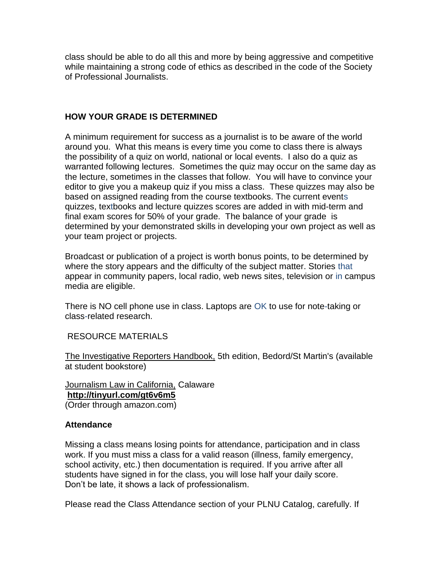class should be able to do all this and more by being aggressive and competitive while maintaining a strong code of ethics as described in the code of the Society of Professional Journalists.

# **HOW YOUR GRADE IS DETERMINED**

A minimum requirement for success as a journalist is to be aware of the world around you. What this means is every time you come to class there is always the possibility of a quiz on world, national or local events. I also do a quiz as warranted following lectures. Sometimes the quiz may occur on the same day as the lecture, sometimes in the classes that follow. You will have to convince your editor to give you a makeup quiz if you miss a class. These quizzes may also be based on assigned reading from the course textbooks. The current events quizzes, textbooks and lecture quizzes scores are added in with mid-term and final exam scores for 50% of your grade. The balance of your grade is determined by your demonstrated skills in developing your own project as well as your team project or projects.

Broadcast or publication of a project is worth bonus points, to be determined by where the story appears and the difficulty of the subject matter. Stories that appear in community papers, local radio, web news sites, television or in campus media are eligible.

There is NO cell phone use in class. Laptops are OK to use for note-taking or class-related research.

RESOURCE MATERIALS

The Investigative Reporters Handbook, 5th edition, Bedord/St Martin's (available at student bookstore)

Journalism Law in California, Calaware **<http://tinyurl.com/gt6v6m5>** (Order through amazon.com)

## **Attendance**

Missing a class means losing points for attendance, participation and in class work. If you must miss a class for a valid reason (illness, family emergency, school activity, etc.) then documentation is required. If you arrive after all students have signed in for the class, you will lose half your daily score. Don't be late, it shows a lack of professionalism.

Please read the Class Attendance section of your PLNU Catalog, carefully. If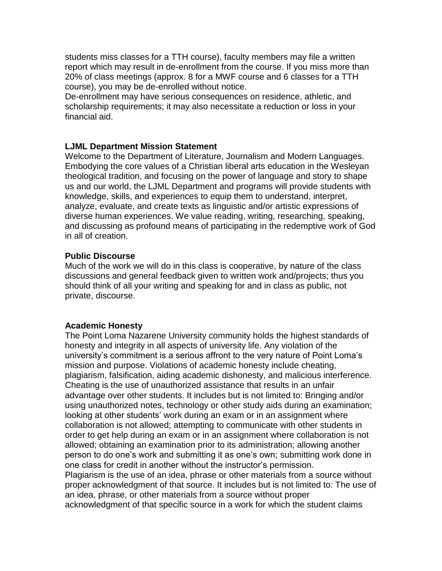students miss classes for a TTH course), faculty members may file a written report which may result in de-enrollment from the course. If you miss more than 20% of class meetings (approx. 8 for a MWF course and 6 classes for a TTH course), you may be de-enrolled without notice.

De-enrollment may have serious consequences on residence, athletic, and scholarship requirements; it may also necessitate a reduction or loss in your financial aid.

## **LJML Department Mission Statement**

Welcome to the Department of Literature, Journalism and Modern Languages. Embodying the core values of a Christian liberal arts education in the Wesleyan theological tradition, and focusing on the power of language and story to shape us and our world, the LJML Department and programs will provide students with knowledge, skills, and experiences to equip them to understand, interpret, analyze, evaluate, and create texts as linguistic and/or artistic expressions of diverse human experiences. We value reading, writing, researching, speaking, and discussing as profound means of participating in the redemptive work of God in all of creation.

### **Public Discourse**

Much of the work we will do in this class is cooperative, by nature of the class discussions and general feedback given to written work and/projects; thus you should think of all your writing and speaking for and in class as public, not private, discourse.

## **Academic Honesty**

The Point Loma Nazarene University community holds the highest standards of honesty and integrity in all aspects of university life. Any violation of the university's commitment is a serious affront to the very nature of Point Loma's mission and purpose. Violations of academic honesty include cheating, plagiarism, falsification, aiding academic dishonesty, and malicious interference. Cheating is the use of unauthorized assistance that results in an unfair advantage over other students. It includes but is not limited to: Bringing and/or using unauthorized notes, technology or other study aids during an examination; looking at other students' work during an exam or in an assignment where collaboration is not allowed; attempting to communicate with other students in order to get help during an exam or in an assignment where collaboration is not allowed; obtaining an examination prior to its administration; allowing another person to do one's work and submitting it as one's own; submitting work done in one class for credit in another without the instructor's permission. Plagiarism is the use of an idea, phrase or other materials from a source without proper acknowledgment of that source. It includes but is not limited to: The use of an idea, phrase, or other materials from a source without proper acknowledgment of that specific source in a work for which the student claims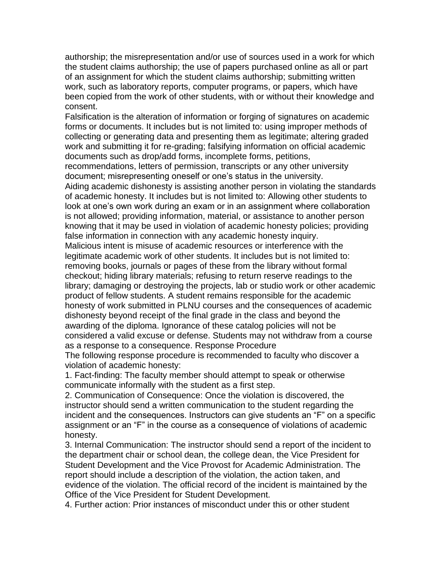authorship; the misrepresentation and/or use of sources used in a work for which the student claims authorship; the use of papers purchased online as all or part of an assignment for which the student claims authorship; submitting written work, such as laboratory reports, computer programs, or papers, which have been copied from the work of other students, with or without their knowledge and consent.

Falsification is the alteration of information or forging of signatures on academic forms or documents. It includes but is not limited to: using improper methods of collecting or generating data and presenting them as legitimate; altering graded work and submitting it for re-grading; falsifying information on official academic documents such as drop/add forms, incomplete forms, petitions,

recommendations, letters of permission, transcripts or any other university document; misrepresenting oneself or one's status in the university. Aiding academic dishonesty is assisting another person in violating the standards of academic honesty. It includes but is not limited to: Allowing other students to look at one's own work during an exam or in an assignment where collaboration is not allowed; providing information, material, or assistance to another person knowing that it may be used in violation of academic honesty policies; providing false information in connection with any academic honesty inquiry. Malicious intent is misuse of academic resources or interference with the

legitimate academic work of other students. It includes but is not limited to: removing books, journals or pages of these from the library without formal checkout; hiding library materials; refusing to return reserve readings to the library; damaging or destroying the projects, lab or studio work or other academic product of fellow students. A student remains responsible for the academic honesty of work submitted in PLNU courses and the consequences of academic dishonesty beyond receipt of the final grade in the class and beyond the awarding of the diploma. Ignorance of these catalog policies will not be considered a valid excuse or defense. Students may not withdraw from a course as a response to a consequence. Response Procedure

The following response procedure is recommended to faculty who discover a violation of academic honesty:

1. Fact-finding: The faculty member should attempt to speak or otherwise communicate informally with the student as a first step.

2. Communication of Consequence: Once the violation is discovered, the instructor should send a written communication to the student regarding the incident and the consequences. Instructors can give students an "F" on a specific assignment or an "F" in the course as a consequence of violations of academic honesty.

3. Internal Communication: The instructor should send a report of the incident to the department chair or school dean, the college dean, the Vice President for Student Development and the Vice Provost for Academic Administration. The report should include a description of the violation, the action taken, and evidence of the violation. The official record of the incident is maintained by the Office of the Vice President for Student Development.

4. Further action: Prior instances of misconduct under this or other student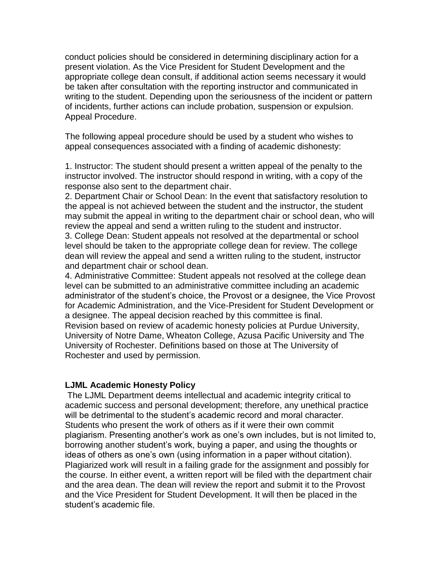conduct policies should be considered in determining disciplinary action for a present violation. As the Vice President for Student Development and the appropriate college dean consult, if additional action seems necessary it would be taken after consultation with the reporting instructor and communicated in writing to the student. Depending upon the seriousness of the incident or pattern of incidents, further actions can include probation, suspension or expulsion. Appeal Procedure.

The following appeal procedure should be used by a student who wishes to appeal consequences associated with a finding of academic dishonesty:

1. Instructor: The student should present a written appeal of the penalty to the instructor involved. The instructor should respond in writing, with a copy of the response also sent to the department chair.

2. Department Chair or School Dean: In the event that satisfactory resolution to the appeal is not achieved between the student and the instructor, the student may submit the appeal in writing to the department chair or school dean, who will review the appeal and send a written ruling to the student and instructor.

3. College Dean: Student appeals not resolved at the departmental or school level should be taken to the appropriate college dean for review. The college dean will review the appeal and send a written ruling to the student, instructor and department chair or school dean.

4. Administrative Committee: Student appeals not resolved at the college dean level can be submitted to an administrative committee including an academic administrator of the student's choice, the Provost or a designee, the Vice Provost for Academic Administration, and the Vice-President for Student Development or a designee. The appeal decision reached by this committee is final. Revision based on review of academic honesty policies at Purdue University, University of Notre Dame, Wheaton College, Azusa Pacific University and The University of Rochester. Definitions based on those at The University of Rochester and used by permission.

### **LJML Academic Honesty Policy**

The LJML Department deems intellectual and academic integrity critical to academic success and personal development; therefore, any unethical practice will be detrimental to the student's academic record and moral character. Students who present the work of others as if it were their own commit plagiarism. Presenting another's work as one's own includes, but is not limited to, borrowing another student's work, buying a paper, and using the thoughts or ideas of others as one's own (using information in a paper without citation). Plagiarized work will result in a failing grade for the assignment and possibly for the course. In either event, a written report will be filed with the department chair and the area dean. The dean will review the report and submit it to the Provost and the Vice President for Student Development. It will then be placed in the student's academic file.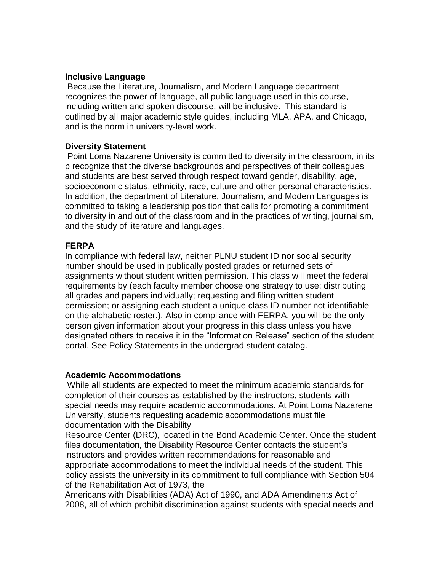## **Inclusive Language**

Because the Literature, Journalism, and Modern Language department recognizes the power of language, all public language used in this course, including written and spoken discourse, will be inclusive. This standard is outlined by all major academic style guides, including MLA, APA, and Chicago, and is the norm in university-level work.

## **Diversity Statement**

Point Loma Nazarene University is committed to diversity in the classroom, in its p recognize that the diverse backgrounds and perspectives of their colleagues and students are best served through respect toward gender, disability, age, socioeconomic status, ethnicity, race, culture and other personal characteristics. In addition, the department of Literature, Journalism, and Modern Languages is committed to taking a leadership position that calls for promoting a commitment to diversity in and out of the classroom and in the practices of writing, journalism, and the study of literature and languages.

## **FERPA**

In compliance with federal law, neither PLNU student ID nor social security number should be used in publically posted grades or returned sets of assignments without student written permission. This class will meet the federal requirements by (each faculty member choose one strategy to use: distributing all grades and papers individually; requesting and filing written student permission; or assigning each student a unique class ID number not identifiable on the alphabetic roster.). Also in compliance with FERPA, you will be the only person given information about your progress in this class unless you have designated others to receive it in the "Information Release" section of the student portal. See Policy Statements in the undergrad student catalog.

### **Academic Accommodations**

While all students are expected to meet the minimum academic standards for completion of their courses as established by the instructors, students with special needs may require academic accommodations. At Point Loma Nazarene University, students requesting academic accommodations must file documentation with the Disability

Resource Center (DRC), located in the Bond Academic Center. Once the student files documentation, the Disability Resource Center contacts the student's instructors and provides written recommendations for reasonable and appropriate accommodations to meet the individual needs of the student. This policy assists the university in its commitment to full compliance with Section 504 of the Rehabilitation Act of 1973, the

Americans with Disabilities (ADA) Act of 1990, and ADA Amendments Act of 2008, all of which prohibit discrimination against students with special needs and